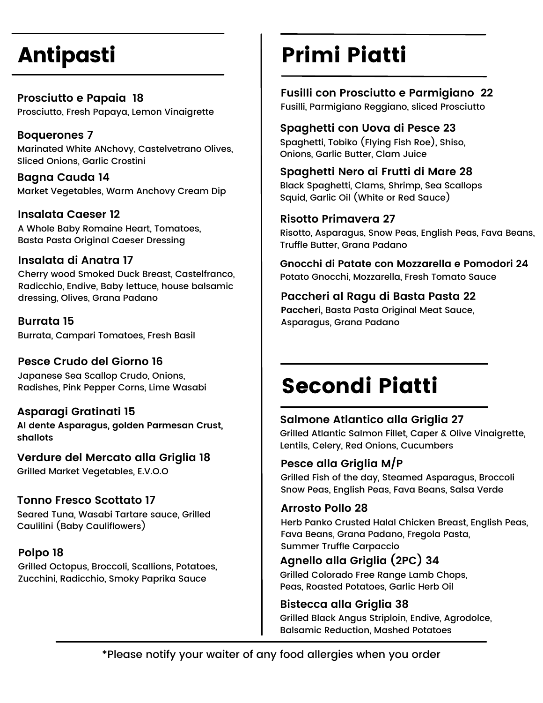# Antipasti

**Prosciutto e Papaia 18** Prosciutto, Fresh Papaya, Lemon Vinaigrette

**Boquerones 7** Marinated White ANchovy, Castelvetrano Olives, Sliced Onions, Garlic Crostini

**Bagna Cauda 14** Market Vegetables, Warm Anchovy Cream Dip

**Insalata Caeser 12** A Whole Baby Romaine Heart, Tomatoes, Basta Pasta Original Caeser Dressing

#### **Insalata di Anatra 17**

Cherry wood Smoked Duck Breast, Castelfranco, Radicchio, Endive, Baby lettuce, house balsamic dressing, Olives, Grana Padano

**Burrata 15** Burrata, Campari Tomatoes, Fresh Basil

#### **Pesce Crudo del Giorno 16**

Japanese Sea Scallop Crudo, Onions, Radishes, Pink Pepper Corns, Lime Wasabi

#### **Asparagi Gratinati 15**

**Al dente Asparagus, golden Parmesan Crust, shallots**

**Verdure del Mercato alla Griglia 18** Grilled Market Vegetables, E.V.O.O

### **Tonno Fresco Scottato 17**

Seared Tuna, Wasabi Tartare sauce, Grilled Caulilini (Baby Cauliflowers)

### **Polpo 18**

Grilled Octopus, Broccoli, Scallions, Potatoes, Zucchini, Radicchio, Smoky Paprika Sauce

# Primi Piatti

# **Fusilli con Prosciutto e Parmigiano 22**

Fusilli, Parmigiano Reggiano, sliced Prosciutto

#### **Spaghetti con Uova di Pesce 23**

Spaghetti, Tobiko (Flying Fish Roe), Shiso, Onions, Garlic Butter, Clam Juice

### **Spaghetti Nero ai Frutti di Mare 28**

Black Spaghetti, Clams, Shrimp, Sea Scallops Squid, Garlic Oil (White or Red Sauce)

#### **Risotto Primavera 27**

Risotto, Asparagus, Snow Peas, English Peas, Fava Beans, Truffle Butter, Grana Padano

**Gnocchi di Patate con Mozzarella e Pomodori 24** Potato Gnocchi, Mozzarella, Fresh Tomato Sauce

### **Paccheri al Ragu di Basta Pasta 22**

**Paccheri,** Basta Pasta Original Meat Sauce, Asparagus, Grana Padano

# Secondi Piatti

## **Salmone Atlantico alla Griglia 27**

Grilled Atlantic Salmon Fillet, Caper & Olive Vinaigrette, Lentils, Celery, Red Onions, Cucumbers

## **Pesce alla Griglia M/P**

Grilled Fish of the day, Steamed Asparagus, Broccoli Snow Peas, English Peas, Fava Beans, Salsa Verde

### **Arrosto Pollo 28**

Herb Panko Crusted Halal Chicken Breast, English Peas, Fava Beans, Grana Padano, Fregola Pasta, Summer Truffle Carpaccio

# **Agnello alla Griglia (2PC) 34**

Grilled Colorado Free Range Lamb Chops, Peas, Roasted Potatoes, Garlic Herb Oil

## **Bistecca alla Griglia 38**

Grilled Black Angus Striploin, Endive, Agrodolce, Balsamic Reduction, Mashed Potatoes